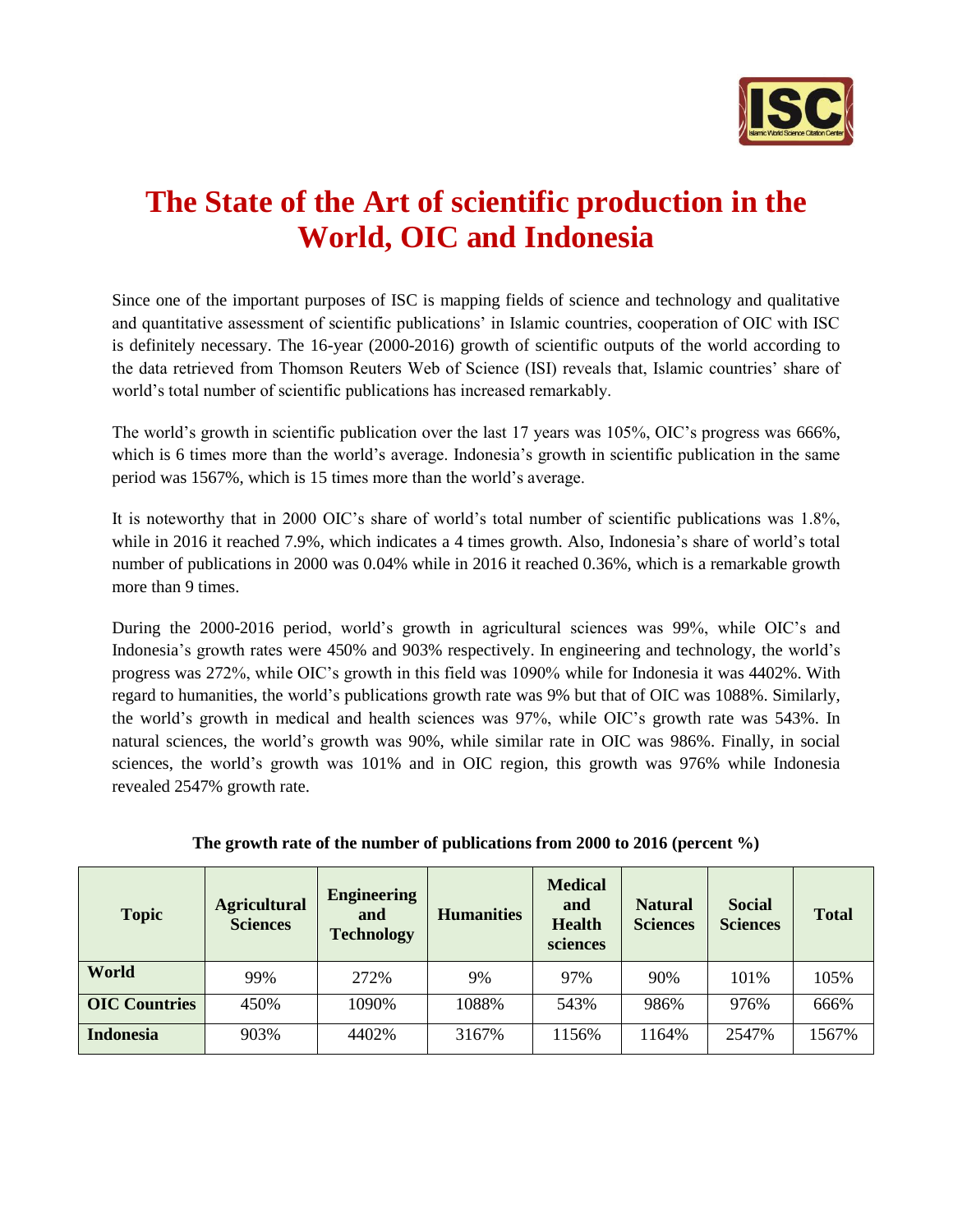

## **The State of the Art of scientific production in the World, OIC and Indonesia**

Since one of the important purposes of ISC is mapping fields of science and technology and qualitative and quantitative assessment of scientific publications' in Islamic countries, cooperation of OIC with ISC is definitely necessary. The 16-year (2000-2016) growth of scientific outputs of the world according to the data retrieved from Thomson Reuters Web of Science (ISI) reveals that, Islamic countries' share of world's total number of scientific publications has increased remarkably.

The world's growth in scientific publication over the last 17 years was 105%, OIC's progress was 666%, which is 6 times more than the world's average. Indonesia's growth in scientific publication in the same period was 1567%, which is 15 times more than the world's average.

It is noteworthy that in 2000 OIC's share of world's total number of scientific publications was 1.8%, while in 2016 it reached 7.9%, which indicates a 4 times growth. Also, Indonesia's share of world's total number of publications in 2000 was 0.04% while in 2016 it reached 0.36%, which is a remarkable growth more than 9 times.

During the 2000-2016 period, world's growth in agricultural sciences was 99%, while OIC's and Indonesia's growth rates were 450% and 903% respectively. In engineering and technology, the world's progress was 272%, while OIC's growth in this field was 1090% while for Indonesia it was 4402%. With regard to humanities, the world's publications growth rate was 9% but that of OIC was 1088%. Similarly, the world's growth in medical and health sciences was 97%, while OIC's growth rate was 543%. In natural sciences, the world's growth was 90%, while similar rate in OIC was 986%. Finally, in social sciences, the world's growth was 101% and in OIC region, this growth was 976% while Indonesia revealed 2547% growth rate.

| <b>Topic</b>         | <b>Agricultural</b><br><b>Sciences</b> | <b>Engineering</b><br>and<br><b>Technology</b> | <b>Humanities</b> | <b>Medical</b><br>and<br><b>Health</b><br>sciences | <b>Natural</b><br><b>Sciences</b> | <b>Social</b><br><b>Sciences</b> | <b>Total</b> |
|----------------------|----------------------------------------|------------------------------------------------|-------------------|----------------------------------------------------|-----------------------------------|----------------------------------|--------------|
| World                | 99%                                    | 272%                                           | 9%                | 97%                                                | 90%                               | 101%                             | 105%         |
| <b>OIC Countries</b> | 450%                                   | 1090%                                          | 1088%             | 543%                                               | 986%                              | 976%                             | 666%         |
| <b>Indonesia</b>     | 903%                                   | 4402%                                          | 3167%             | 1156%                                              | 1164%                             | 2547%                            | 1567%        |

**The growth rate of the number of publications from 2000 to 2016 (percent %)**